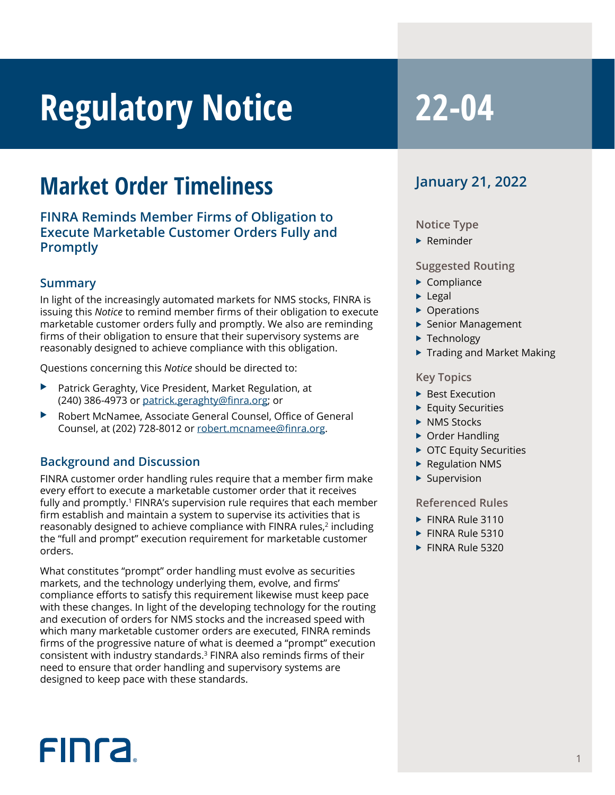# **Regulatory Notice 22-04**

### **Market Order Timeliness**

**FINRA Reminds Member Firms of Obligation to Execute Marketable Customer Orders Fully and Promptly**

#### **Summary**

In light of the increasingly automated markets for NMS stocks, FINRA is issuing this *Notice* to remind member firms of their obligation to execute marketable customer orders fully and promptly. We also are reminding firms of their obligation to ensure that their supervisory systems are reasonably designed to achieve compliance with this obligation.

Questions concerning this *Notice* should be directed to:

- Patrick Geraghty, Vice President, Market Regulation, at (240) 386-4973 or patrick.geraghty@finra.org; or
- Robert McNamee, Associate General Counsel, Office of General Counsel, at (202) 728-8012 or robert.mcnamee@finra.org.

#### **Background and Discussion**

FINRA customer order handling rules require that a member firm make every effort to execute a marketable customer order that it receives fully and promptly.<sup>1</sup> FINRA's supervision rule requires that each member firm establish and maintain a system to supervise its activities that is reasonably designed to achieve compliance with FINRA rules,<sup>2</sup> including the "full and prompt" execution requirement for marketable customer orders.

What constitutes "prompt" order handling must evolve as securities markets, and the technology underlying them, evolve, and firms' compliance efforts to satisfy this requirement likewise must keep pace with these changes. In light of the developing technology for the routing and execution of orders for NMS stocks and the increased speed with which many marketable customer orders are executed, FINRA reminds firms of the progressive nature of what is deemed a "prompt" execution consistent with industry standards.3 FINRA also reminds firms of their need to ensure that order handling and supervisory systems are designed to keep pace with these standards.

### **January 21, 2022**

#### **Notice Type**

 $\blacktriangleright$  Reminder

#### **Suggested Routing**

- $\blacktriangleright$  Compliance
- $\blacktriangleright$  Legal
- $\triangleright$  Operations
- ▶ Senior Management
- $\blacktriangleright$  Technology
- $\blacktriangleright$  Trading and Market Making

#### **Key Topics**

- $\blacktriangleright$  Best Execution
- $\blacktriangleright$  Equity Securities
- $\triangleright$  NMS Stocks
- $\triangleright$  Order Handling
- $\triangleright$  OTC Equity Securities
- $\blacktriangleright$  Regulation NMS
- $\blacktriangleright$  Supervision

#### **Referenced Rules**

- $\blacktriangleright$  FINRA Rule 3110
- $\blacktriangleright$  FINRA Rule 5310
- $\blacktriangleright$  FINRA Rule 5320

## **FINCA**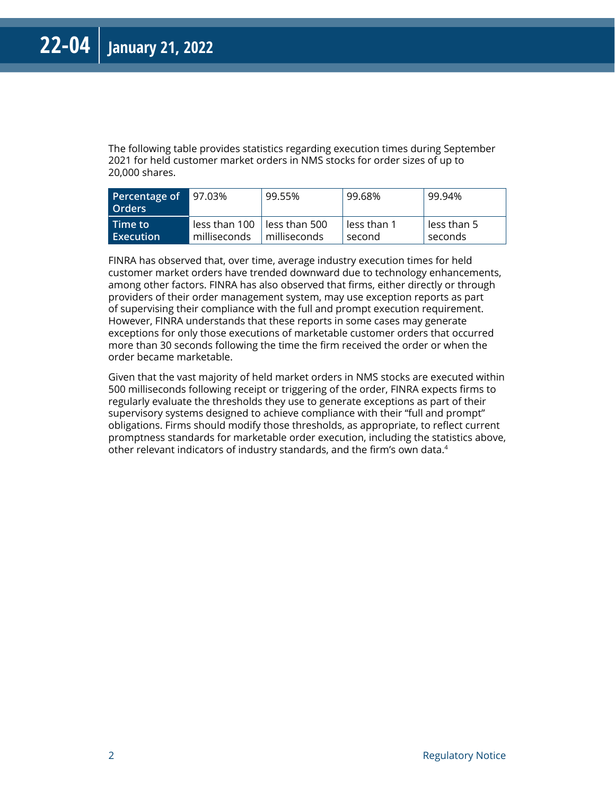The following table provides statistics regarding execution times during September 2021 for held customer market orders in NMS stocks for order sizes of up to 20,000 shares.

| Percentage of<br>l Orders | $97.03\%$     | 99.55%                | 99.68%      | ' 99.94%      |
|---------------------------|---------------|-----------------------|-------------|---------------|
| Time to                   | less than 100 | $\vert$ less than 500 | less than 1 | l less than 5 |
| Execution                 | milliseconds  | milliseconds          | second      | seconds       |

FINRA has observed that, over time, average industry execution times for held customer market orders have trended downward due to technology enhancements, among other factors. FINRA has also observed that firms, either directly or through providers of their order management system, may use exception reports as part of supervising their compliance with the full and prompt execution requirement. However, FINRA understands that these reports in some cases may generate exceptions for only those executions of marketable customer orders that occurred more than 30 seconds following the time the firm received the order or when the order became marketable.

Given that the vast majority of held market orders in NMS stocks are executed within 500 milliseconds following receipt or triggering of the order, FINRA expects firms to regularly evaluate the thresholds they use to generate exceptions as part of their supervisory systems designed to achieve compliance with their "full and prompt" obligations. Firms should modify those thresholds, as appropriate, to reflect current promptness standards for marketable order execution, including the statistics above, other relevant indicators of industry standards, and the firm's own data.4